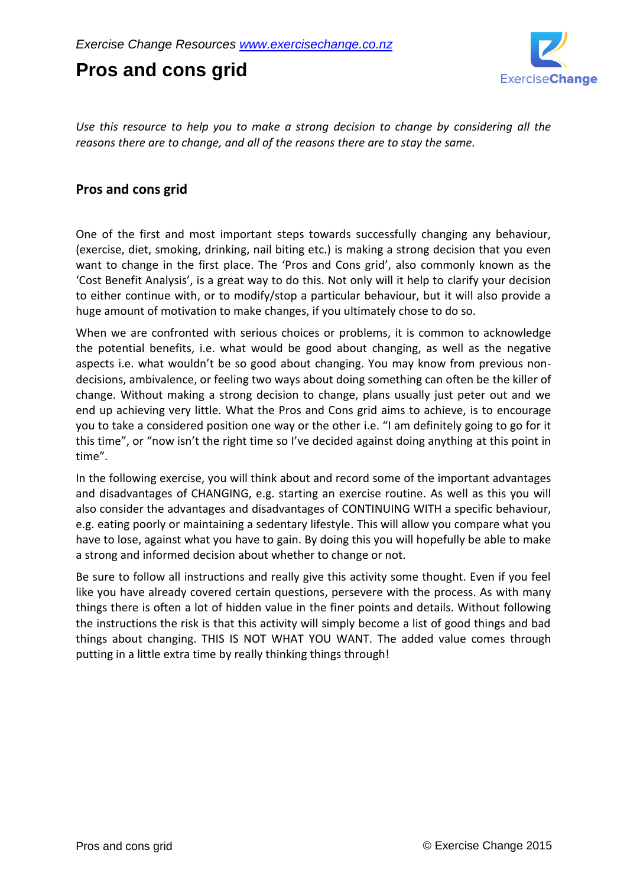# **Pros and cons grid**



*Use this resource to help you to make a strong decision to change by considering all the reasons there are to change, and all of the reasons there are to stay the same.*

#### **Pros and cons grid**

One of the first and most important steps towards successfully changing any behaviour, (exercise, diet, smoking, drinking, nail biting etc.) is making a strong decision that you even want to change in the first place. The 'Pros and Cons grid', also commonly known as the 'Cost Benefit Analysis', is a great way to do this. Not only will it help to clarify your decision to either continue with, or to modify/stop a particular behaviour, but it will also provide a huge amount of motivation to make changes, if you ultimately chose to do so.

When we are confronted with serious choices or problems, it is common to acknowledge the potential benefits, i.e. what would be good about changing, as well as the negative aspects i.e. what wouldn't be so good about changing. You may know from previous nondecisions, ambivalence, or feeling two ways about doing something can often be the killer of change. Without making a strong decision to change, plans usually just peter out and we end up achieving very little. What the Pros and Cons grid aims to achieve, is to encourage you to take a considered position one way or the other i.e. "I am definitely going to go for it this time", or "now isn't the right time so I've decided against doing anything at this point in time".

In the following exercise, you will think about and record some of the important advantages and disadvantages of CHANGING, e.g. starting an exercise routine. As well as this you will also consider the advantages and disadvantages of CONTINUING WITH a specific behaviour, e.g. eating poorly or maintaining a sedentary lifestyle. This will allow you compare what you have to lose, against what you have to gain. By doing this you will hopefully be able to make a strong and informed decision about whether to change or not.

Be sure to follow all instructions and really give this activity some thought. Even if you feel like you have already covered certain questions, persevere with the process. As with many things there is often a lot of hidden value in the finer points and details. Without following the instructions the risk is that this activity will simply become a list of good things and bad things about changing. THIS IS NOT WHAT YOU WANT. The added value comes through putting in a little extra time by really thinking things through!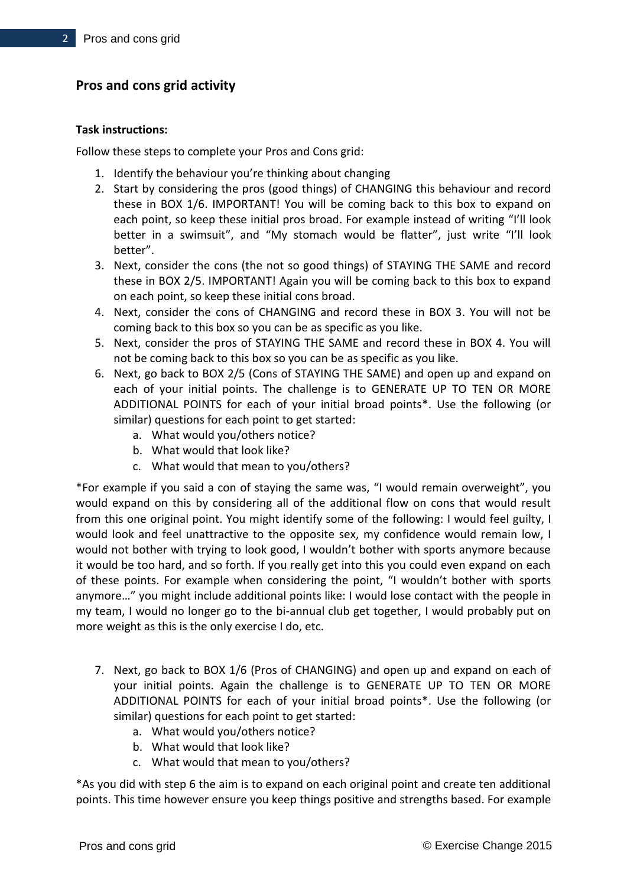## **Pros and cons grid activity**

#### **Task instructions:**

Follow these steps to complete your Pros and Cons grid:

- 1. Identify the behaviour you're thinking about changing
- 2. Start by considering the pros (good things) of CHANGING this behaviour and record these in BOX 1/6. IMPORTANT! You will be coming back to this box to expand on each point, so keep these initial pros broad. For example instead of writing "I'll look better in a swimsuit", and "My stomach would be flatter", just write "I'll look better".
- 3. Next, consider the cons (the not so good things) of STAYING THE SAME and record these in BOX 2/5. IMPORTANT! Again you will be coming back to this box to expand on each point, so keep these initial cons broad.
- 4. Next, consider the cons of CHANGING and record these in BOX 3. You will not be coming back to this box so you can be as specific as you like.
- 5. Next, consider the pros of STAYING THE SAME and record these in BOX 4. You will not be coming back to this box so you can be as specific as you like.
- 6. Next, go back to BOX 2/5 (Cons of STAYING THE SAME) and open up and expand on each of your initial points. The challenge is to GENERATE UP TO TEN OR MORE ADDITIONAL POINTS for each of your initial broad points\*. Use the following (or similar) questions for each point to get started:
	- a. What would you/others notice?
	- b. What would that look like?
	- c. What would that mean to you/others?

\*For example if you said a con of staying the same was, "I would remain overweight", you would expand on this by considering all of the additional flow on cons that would result from this one original point. You might identify some of the following: I would feel guilty, I would look and feel unattractive to the opposite sex, my confidence would remain low, I would not bother with trying to look good, I wouldn't bother with sports anymore because it would be too hard, and so forth. If you really get into this you could even expand on each of these points. For example when considering the point, "I wouldn't bother with sports anymore…" you might include additional points like: I would lose contact with the people in my team, I would no longer go to the bi-annual club get together, I would probably put on more weight as this is the only exercise I do, etc.

- 7. Next, go back to BOX 1/6 (Pros of CHANGING) and open up and expand on each of your initial points. Again the challenge is to GENERATE UP TO TEN OR MORE ADDITIONAL POINTS for each of your initial broad points\*. Use the following (or similar) questions for each point to get started:
	- a. What would you/others notice?
	- b. What would that look like?
	- c. What would that mean to you/others?

\*As you did with step 6 the aim is to expand on each original point and create ten additional points. This time however ensure you keep things positive and strengths based. For example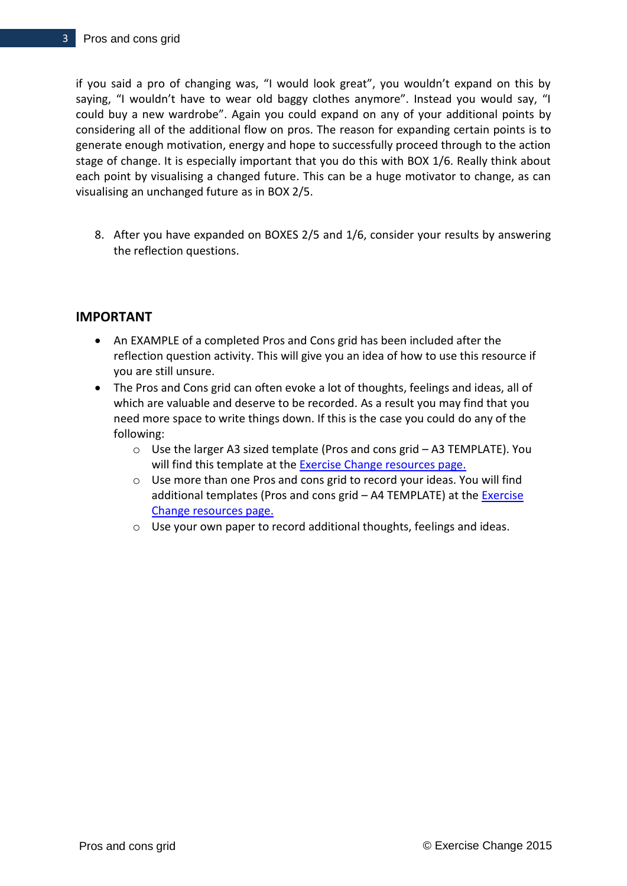if you said a pro of changing was, "I would look great", you wouldn't expand on this by saying, "I wouldn't have to wear old baggy clothes anymore". Instead you would say, "I could buy a new wardrobe". Again you could expand on any of your additional points by considering all of the additional flow on pros. The reason for expanding certain points is to generate enough motivation, energy and hope to successfully proceed through to the action stage of change. It is especially important that you do this with BOX 1/6. Really think about each point by visualising a changed future. This can be a huge motivator to change, as can visualising an unchanged future as in BOX 2/5.

8. After you have expanded on BOXES 2/5 and 1/6, consider your results by answering the reflection questions.

#### **IMPORTANT**

- An EXAMPLE of a completed Pros and Cons grid has been included after the reflection question activity. This will give you an idea of how to use this resource if you are still unsure.
- The Pros and Cons grid can often evoke a lot of thoughts, feelings and ideas, all of which are valuable and deserve to be recorded. As a result you may find that you need more space to write things down. If this is the case you could do any of the following:
	- o Use the larger A3 sized template (Pros and cons grid A3 TEMPLATE). You will find this template at the [Exercise Change resources page.](http://www.exercisechange.co.nz/resources.html)
	- $\circ$  Use more than one Pros and cons grid to record your ideas. You will find additional templates (Pros and cons grid - A4 TEMPLATE) at the **Exercise** [Change resources page.](http://www.exercisechange.co.nz/resources.html)
	- o Use your own paper to record additional thoughts, feelings and ideas.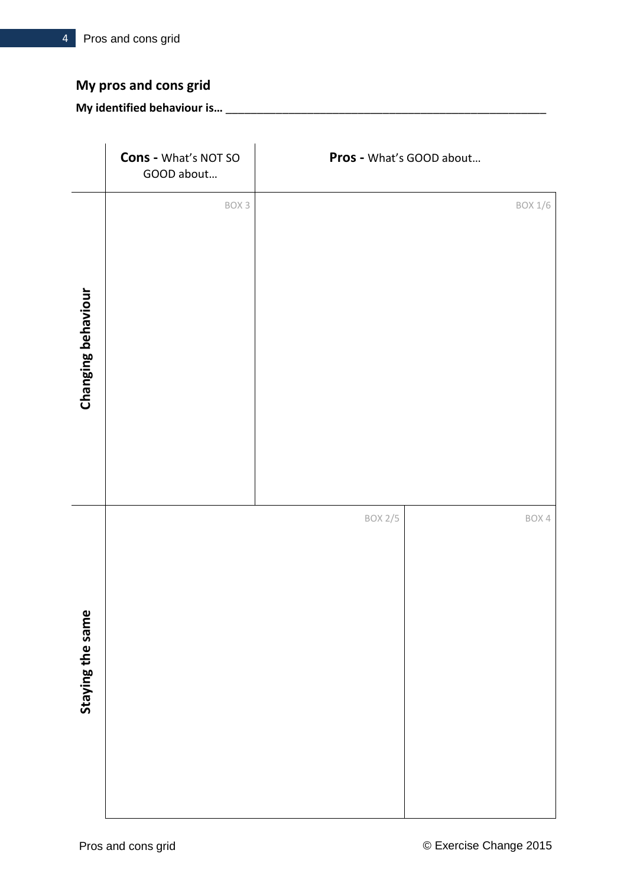# **My pros and cons grid**

## **My identified behaviour is…** \_\_\_\_\_\_\_\_\_\_\_\_\_\_\_\_\_\_\_\_\_\_\_\_\_\_\_\_\_\_\_\_\_\_\_\_\_\_\_\_\_\_\_\_\_\_\_\_\_\_\_

|                    | Cons - What's NOT SO<br>GOOD about | Pros - What's GOOD about |                |
|--------------------|------------------------------------|--------------------------|----------------|
| Changing behaviour | BOX 3                              |                          | <b>BOX 1/6</b> |
| Staying the same   |                                    | <b>BOX 2/5</b>           | BOX 4          |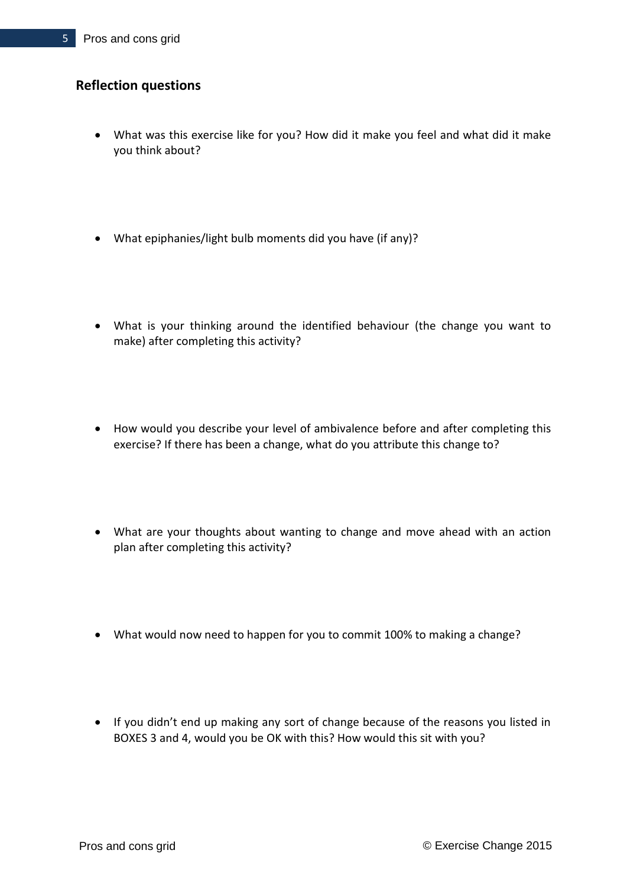#### **Reflection questions**

- What was this exercise like for you? How did it make you feel and what did it make you think about?
- What epiphanies/light bulb moments did you have (if any)?
- What is your thinking around the identified behaviour (the change you want to make) after completing this activity?
- How would you describe your level of ambivalence before and after completing this exercise? If there has been a change, what do you attribute this change to?
- What are your thoughts about wanting to change and move ahead with an action plan after completing this activity?
- What would now need to happen for you to commit 100% to making a change?
- If you didn't end up making any sort of change because of the reasons you listed in BOXES 3 and 4, would you be OK with this? How would this sit with you?